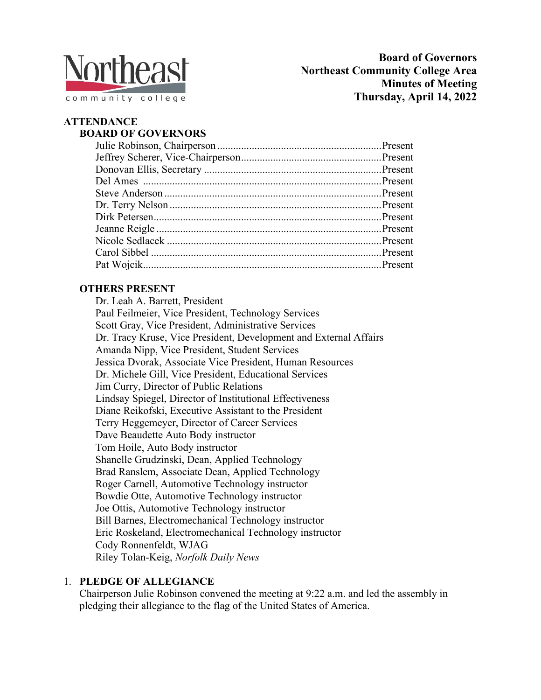

# **ATTENDANCE**

### **BOARD OF GOVERNORS**

# **OTHERS PRESENT**

Dr. Leah A. Barrett, President Paul Feilmeier, Vice President, Technology Services Scott Gray, Vice President, Administrative Services Dr. Tracy Kruse, Vice President, Development and External Affairs Amanda Nipp, Vice President, Student Services Jessica Dvorak, Associate Vice President, Human Resources Dr. Michele Gill, Vice President, Educational Services Jim Curry, Director of Public Relations Lindsay Spiegel, Director of Institutional Effectiveness Diane Reikofski, Executive Assistant to the President Terry Heggemeyer, Director of Career Services Dave Beaudette Auto Body instructor Tom Hoile, Auto Body instructor Shanelle Grudzinski, Dean, Applied Technology Brad Ranslem, Associate Dean, Applied Technology Roger Carnell, Automotive Technology instructor Bowdie Otte, Automotive Technology instructor Joe Ottis, Automotive Technology instructor Bill Barnes, Electromechanical Technology instructor Eric Roskeland, Electromechanical Technology instructor Cody Ronnenfeldt, WJAG Riley Tolan-Keig, *Norfolk Daily News*

#### 1. **PLEDGE OF ALLEGIANCE**

Chairperson Julie Robinson convened the meeting at 9:22 a.m. and led the assembly in pledging their allegiance to the flag of the United States of America.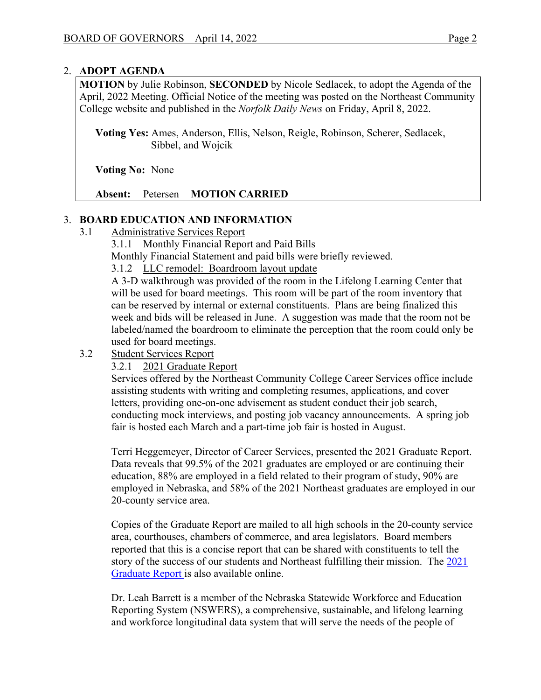### 2. **ADOPT AGENDA**

**MOTION** by Julie Robinson, **SECONDED** by Nicole Sedlacek, to adopt the Agenda of the April, 2022 Meeting. Official Notice of the meeting was posted on the Northeast Community College website and published in the *Norfolk Daily News* on Friday, April 8, 2022.

 **Voting Yes:** Ames, Anderson, Ellis, Nelson, Reigle, Robinson, Scherer, Sedlacek, Sibbel, and Wojcik

 **Voting No:** None

**Absent:** Petersen **MOTION CARRIED**

# 3. **BOARD EDUCATION AND INFORMATION**

3.1 Administrative Services Report

3.1.1 Monthly Financial Report and Paid Bills

Monthly Financial Statement and paid bills were briefly reviewed.

3.1.2 LLC remodel: Boardroom layout update

A 3-D walkthrough was provided of the room in the Lifelong Learning Center that will be used for board meetings. This room will be part of the room inventory that can be reserved by internal or external constituents. Plans are being finalized this week and bids will be released in June. A suggestion was made that the room not be labeled/named the boardroom to eliminate the perception that the room could only be used for board meetings.

3.2 Student Services Report

#### 3.2.1 2021 Graduate Report

Services offered by the Northeast Community College Career Services office include assisting students with writing and completing resumes, applications, and cover letters, providing one-on-one advisement as student conduct their job search, conducting mock interviews, and posting job vacancy announcements. A spring job fair is hosted each March and a part-time job fair is hosted in August.

Terri Heggemeyer, Director of Career Services, presented the 2021 Graduate Report. Data reveals that 99.5% of the 2021 graduates are employed or are continuing their education, 88% are employed in a field related to their program of study, 90% are employed in Nebraska, and 58% of the 2021 Northeast graduates are employed in our 20-county service area.

Copies of the Graduate Report are mailed to all high schools in the 20-county service area, courthouses, chambers of commerce, and area legislators. Board members reported that this is a concise report that can be shared with constituents to tell the story of the success of our students and Northeast fulfilling their mission. The 2021 [Graduate Report i](file:///C:%5CUsers%5Cdiane%5CAppData%5CLocal%5CMicrosoft%5CWindows%5CINetCache%5CContent.Outlook%5CKGQBZLZL%5CData%20reveals%20that%2099%25%20of%20the%202014%20graduates%20are%20employed%20or%20are%20continuing%20their%20education,%2083%25%20are%20employed%20in%20a%20field%20related%20to%20their%20program%20of%20study,%2088%25%20are%20employed%20in%20Nebraska,%20and%2060%25%20of%20the%202014%20Northeast%20graduates%20are%20employed%20in%20our%2020-county%20service%20area.)s also available online.

Dr. Leah Barrett is a member of the Nebraska Statewide Workforce and Education Reporting System (NSWERS), a comprehensive, sustainable, and lifelong learning and workforce longitudinal data system that will serve the needs of the people of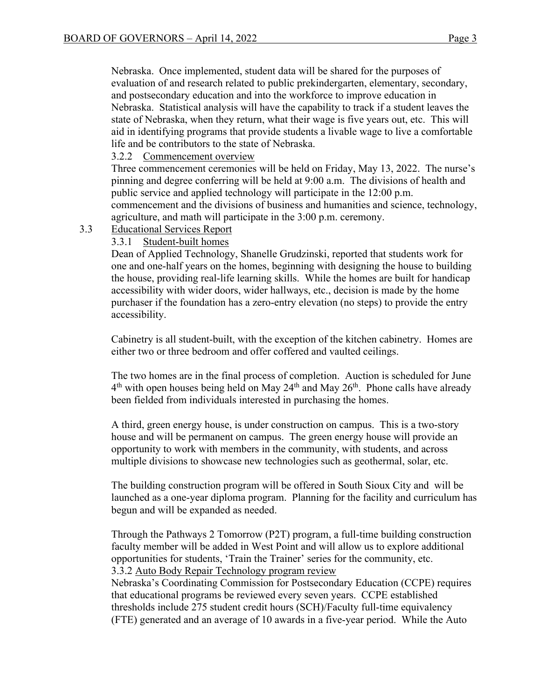Nebraska. Once implemented, student data will be shared for the purposes of evaluation of and research related to public prekindergarten, elementary, secondary, and postsecondary education and into the workforce to improve education in Nebraska. Statistical analysis will have the capability to track if a student leaves the state of Nebraska, when they return, what their wage is five years out, etc. This will aid in identifying programs that provide students a livable wage to live a comfortable life and be contributors to the state of Nebraska.

### 3.2.2 Commencement overview

Three commencement ceremonies will be held on Friday, May 13, 2022. The nurse's pinning and degree conferring will be held at 9:00 a.m. The divisions of health and public service and applied technology will participate in the 12:00 p.m. commencement and the divisions of business and humanities and science, technology, agriculture, and math will participate in the 3:00 p.m. ceremony.

3.3 Educational Services Report

# 3.3.1 Student-built homes

Dean of Applied Technology, Shanelle Grudzinski, reported that students work for one and one-half years on the homes, beginning with designing the house to building the house, providing real-life learning skills. While the homes are built for handicap accessibility with wider doors, wider hallways, etc., decision is made by the home purchaser if the foundation has a zero-entry elevation (no steps) to provide the entry accessibility.

Cabinetry is all student-built, with the exception of the kitchen cabinetry. Homes are either two or three bedroom and offer coffered and vaulted ceilings.

The two homes are in the final process of completion. Auction is scheduled for June  $4<sup>th</sup>$  with open houses being held on May 24<sup>th</sup> and May 26<sup>th</sup>. Phone calls have already been fielded from individuals interested in purchasing the homes.

A third, green energy house, is under construction on campus. This is a two-story house and will be permanent on campus. The green energy house will provide an opportunity to work with members in the community, with students, and across multiple divisions to showcase new technologies such as geothermal, solar, etc.

The building construction program will be offered in South Sioux City and will be launched as a one-year diploma program. Planning for the facility and curriculum has begun and will be expanded as needed.

Through the Pathways 2 Tomorrow (P2T) program, a full-time building construction faculty member will be added in West Point and will allow us to explore additional opportunities for students, 'Train the Trainer' series for the community, etc. 3.3.2 Auto Body Repair Technology program review

Nebraska's Coordinating Commission for Postsecondary Education (CCPE) requires that educational programs be reviewed every seven years. CCPE established thresholds include 275 student credit hours (SCH)/Faculty full-time equivalency (FTE) generated and an average of 10 awards in a five-year period. While the Auto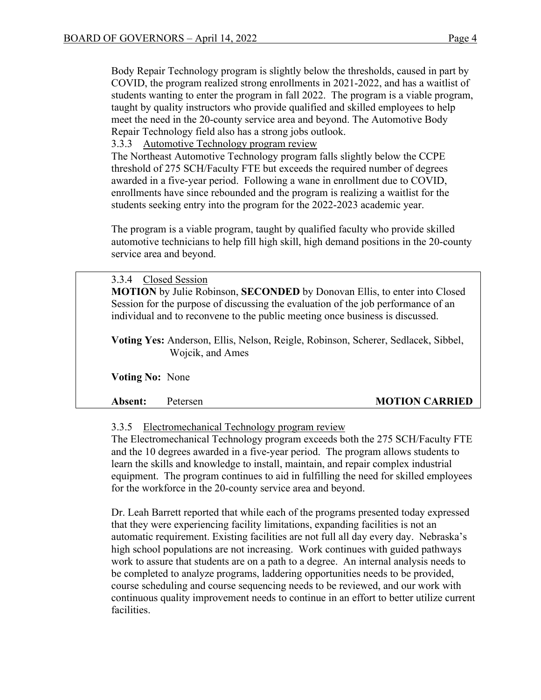Body Repair Technology program is slightly below the thresholds, caused in part by COVID, the program realized strong enrollments in 2021-2022, and has a waitlist of students wanting to enter the program in fall 2022. The program is a viable program, taught by quality instructors who provide qualified and skilled employees to help meet the need in the 20-county service area and beyond. The Automotive Body Repair Technology field also has a strong jobs outlook.

3.3.3 Automotive Technology program review

The Northeast Automotive Technology program falls slightly below the CCPE threshold of 275 SCH/Faculty FTE but exceeds the required number of degrees awarded in a five-year period. Following a wane in enrollment due to COVID, enrollments have since rebounded and the program is realizing a waitlist for the students seeking entry into the program for the 2022-2023 academic year.

The program is a viable program, taught by qualified faculty who provide skilled automotive technicians to help fill high skill, high demand positions in the 20-county service area and beyond.

 3.3.4 Closed Session **MOTION** by Julie Robinson, **SECONDED** by Donovan Ellis, to enter into Closed Session for the purpose of discussing the evaluation of the job performance of an individual and to reconvene to the public meeting once business is discussed.

**Voting Yes:** Anderson, Ellis, Nelson, Reigle, Robinson, Scherer, Sedlacek, Sibbel, Wojcik, and Ames

 **Voting No:** None

#### **Absent:** Petersen **MOTION CARRIED**

3.3.5 Electromechanical Technology program review

The Electromechanical Technology program exceeds both the 275 SCH/Faculty FTE and the 10 degrees awarded in a five-year period. The program allows students to learn the skills and knowledge to install, maintain, and repair complex industrial equipment. The program continues to aid in fulfilling the need for skilled employees for the workforce in the 20-county service area and beyond.

Dr. Leah Barrett reported that while each of the programs presented today expressed that they were experiencing facility limitations, expanding facilities is not an automatic requirement. Existing facilities are not full all day every day. Nebraska's high school populations are not increasing. Work continues with guided pathways work to assure that students are on a path to a degree. An internal analysis needs to be completed to analyze programs, laddering opportunities needs to be provided, course scheduling and course sequencing needs to be reviewed, and our work with continuous quality improvement needs to continue in an effort to better utilize current facilities.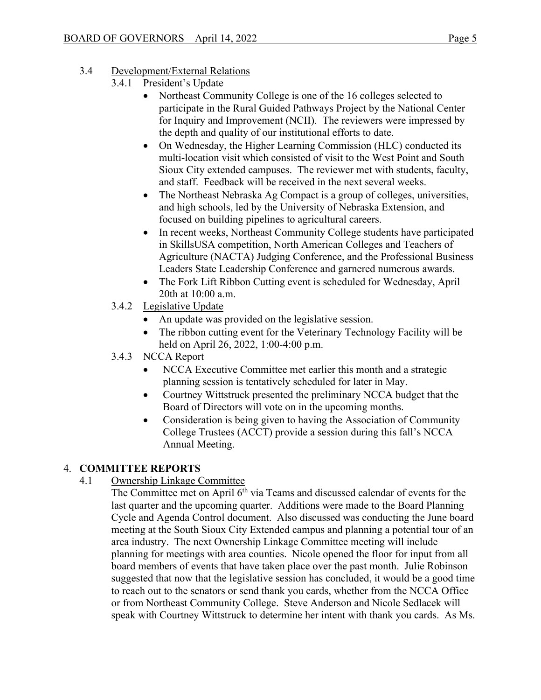- 3.4 Development/External Relations
	- 3.4.1 President's Update
		- Northeast Community College is one of the 16 colleges selected to participate in the Rural Guided Pathways Project by the National Center for Inquiry and Improvement (NCII). The reviewers were impressed by the depth and quality of our institutional efforts to date.
		- On Wednesday, the Higher Learning Commission (HLC) conducted its multi-location visit which consisted of visit to the West Point and South Sioux City extended campuses. The reviewer met with students, faculty, and staff. Feedback will be received in the next several weeks.
		- The Northeast Nebraska Ag Compact is a group of colleges, universities, and high schools, led by the University of Nebraska Extension, and focused on building pipelines to agricultural careers.
		- In recent weeks, Northeast Community College students have participated in SkillsUSA competition, North American Colleges and Teachers of Agriculture (NACTA) Judging Conference, and the Professional Business Leaders State Leadership Conference and garnered numerous awards.
		- The Fork Lift Ribbon Cutting event is scheduled for Wednesday, April 20th at 10:00 a.m.
	- 3.4.2 Legislative Update
		- An update was provided on the legislative session.
		- The ribbon cutting event for the Veterinary Technology Facility will be held on April 26, 2022, 1:00-4:00 p.m.
	- 3.4.3 NCCA Report
		- NCCA Executive Committee met earlier this month and a strategic planning session is tentatively scheduled for later in May.
		- Courtney Wittstruck presented the preliminary NCCA budget that the Board of Directors will vote on in the upcoming months.
		- Consideration is being given to having the Association of Community College Trustees (ACCT) provide a session during this fall's NCCA Annual Meeting.

# 4. **COMMITTEE REPORTS**

- 4.1 Ownership Linkage Committee
	- The Committee met on April  $6<sup>th</sup>$  via Teams and discussed calendar of events for the last quarter and the upcoming quarter. Additions were made to the Board Planning Cycle and Agenda Control document. Also discussed was conducting the June board meeting at the South Sioux City Extended campus and planning a potential tour of an area industry. The next Ownership Linkage Committee meeting will include planning for meetings with area counties. Nicole opened the floor for input from all board members of events that have taken place over the past month. Julie Robinson suggested that now that the legislative session has concluded, it would be a good time to reach out to the senators or send thank you cards, whether from the NCCA Office or from Northeast Community College. Steve Anderson and Nicole Sedlacek will speak with Courtney Wittstruck to determine her intent with thank you cards. As Ms.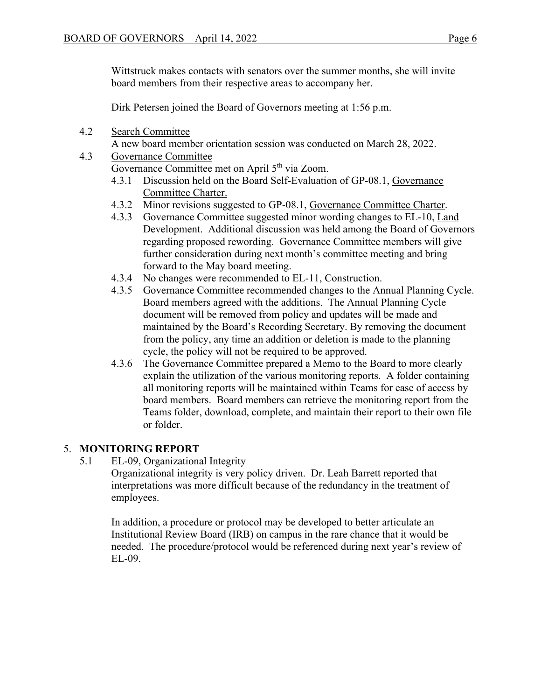Wittstruck makes contacts with senators over the summer months, she will invite board members from their respective areas to accompany her.

Dirk Petersen joined the Board of Governors meeting at 1:56 p.m.

- 4.2 Search Committee
- A new board member orientation session was conducted on March 28, 2022.

### 4.3 Governance Committee

Governance Committee met on April 5<sup>th</sup> via Zoom.

- 4.3.1 Discussion held on the Board Self-Evaluation of GP-08.1, Governance Committee Charter.
- 4.3.2 Minor revisions suggested to GP-08.1, Governance Committee Charter.
- 4.3.3 Governance Committee suggested minor wording changes to EL-10, Land Development. Additional discussion was held among the Board of Governors regarding proposed rewording. Governance Committee members will give further consideration during next month's committee meeting and bring forward to the May board meeting.
- 4.3.4 No changes were recommended to EL-11, Construction.
- 4.3.5 Governance Committee recommended changes to the Annual Planning Cycle. Board members agreed with the additions. The Annual Planning Cycle document will be removed from policy and updates will be made and maintained by the Board's Recording Secretary. By removing the document from the policy, any time an addition or deletion is made to the planning cycle, the policy will not be required to be approved.
- 4.3.6 The Governance Committee prepared a Memo to the Board to more clearly explain the utilization of the various monitoring reports. A folder containing all monitoring reports will be maintained within Teams for ease of access by board members. Board members can retrieve the monitoring report from the Teams folder, download, complete, and maintain their report to their own file or folder.

# 5. **MONITORING REPORT**

5.1 EL-09, Organizational Integrity

Organizational integrity is very policy driven. Dr. Leah Barrett reported that interpretations was more difficult because of the redundancy in the treatment of employees.

In addition, a procedure or protocol may be developed to better articulate an Institutional Review Board (IRB) on campus in the rare chance that it would be needed. The procedure/protocol would be referenced during next year's review of EL-09.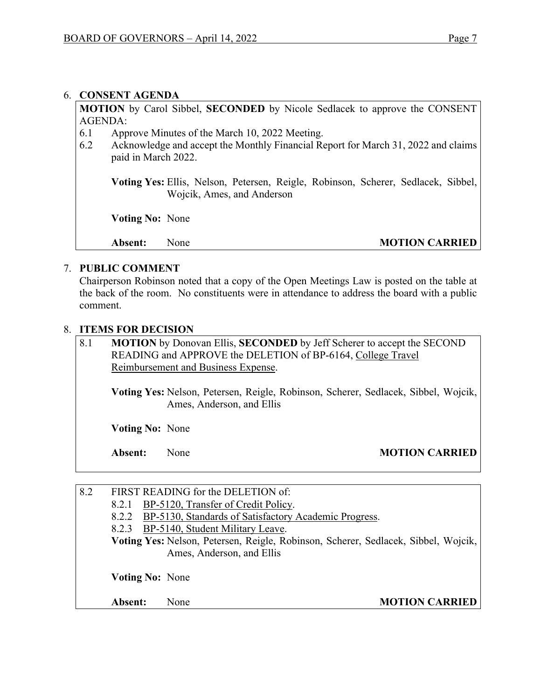#### 6. **CONSENT AGENDA**

**MOTION** by Carol Sibbel, **SECONDED** by Nicole Sedlacek to approve the CONSENT AGENDA:

- 6.1 Approve Minutes of the March 10, 2022 Meeting.
- 6.2 Acknowledge and accept the Monthly Financial Report for March 31, 2022 and claims paid in March 2022.

 **Voting Yes:** Ellis, Nelson, Petersen, Reigle, Robinson, Scherer, Sedlacek, Sibbel, Wojcik, Ames, and Anderson

 **Voting No:** None

### Absent: None **MOTION CARRIED**

#### 7. **PUBLIC COMMENT**

Chairperson Robinson noted that a copy of the Open Meetings Law is posted on the table at the back of the room. No constituents were in attendance to address the board with a public comment.

#### 8. **ITEMS FOR DECISION**

| 8.1 | MOTION by Donovan Ellis, SECONDED by Jeff Scherer to accept the SECOND<br>READING and APPROVE the DELETION of BP-6164, College Travel<br>Reimbursement and Business Expense. |  |  |  |
|-----|------------------------------------------------------------------------------------------------------------------------------------------------------------------------------|--|--|--|
|     | Voting Yes: Nelson, Petersen, Reigle, Robinson, Scherer, Sedlacek, Sibbel, Wojcik,<br>Ames, Anderson, and Ellis                                                              |  |  |  |
|     | <b>Voting No: None</b>                                                                                                                                                       |  |  |  |

# **Absent:** None **MOTION CARRIED**

| 8.2 |                                                                                    | FIRST READING for the DELETION of:                    |                       |  |  |
|-----|------------------------------------------------------------------------------------|-------------------------------------------------------|-----------------------|--|--|
|     | 8.2.1                                                                              | BP-5120, Transfer of Credit Policy.                   |                       |  |  |
|     | 8.2.2                                                                              | BP-5130, Standards of Satisfactory Academic Progress. |                       |  |  |
|     |                                                                                    | 8.2.3 BP-5140, Student Military Leave.                |                       |  |  |
|     | Voting Yes: Nelson, Petersen, Reigle, Robinson, Scherer, Sedlacek, Sibbel, Wojcik, |                                                       |                       |  |  |
|     |                                                                                    | Ames, Anderson, and Ellis                             |                       |  |  |
|     | <b>Voting No: None</b>                                                             |                                                       |                       |  |  |
|     | Absent:                                                                            | None                                                  | <b>MOTION CARRIED</b> |  |  |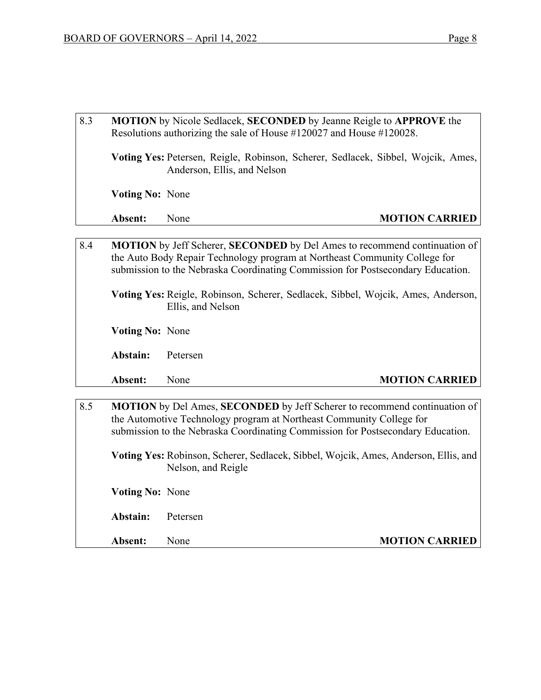- 8.3 **MOTION** by Nicole Sedlacek, **SECONDED** by Jeanne Reigle to **APPROVE** the Resolutions authorizing the sale of House #120027 and House #120028. **Voting Yes:** Petersen, Reigle, Robinson, Scherer, Sedlacek, Sibbel, Wojcik, Ames, Anderson, Ellis, and Nelson  **Voting No:** None **Absent:** None **MOTION CARRIED**
- 8.4 **MOTION** by Jeff Scherer, **SECONDED** by Del Ames to recommend continuation of the Auto Body Repair Technology program at Northeast Community College for submission to the Nebraska Coordinating Commission for Postsecondary Education.

**Voting Yes:** Reigle, Robinson, Scherer, Sedlacek, Sibbel, Wojcik, Ames, Anderson, Ellis, and Nelson

 **Voting No:** None

**Abstain:** Petersen

# **Absent:** None **MOTION CARRIED**

8.5 **MOTION** by Del Ames, **SECONDED** by Jeff Scherer to recommend continuation of the Automotive Technology program at Northeast Community College for submission to the Nebraska Coordinating Commission for Postsecondary Education. **Voting Yes:** Robinson, Scherer, Sedlacek, Sibbel, Wojcik, Ames, Anderson, Ellis, and Nelson, and Reigle  **Voting No:** None

**Abstain:** Petersen

**Absent:** None **MOTION CARRIED**